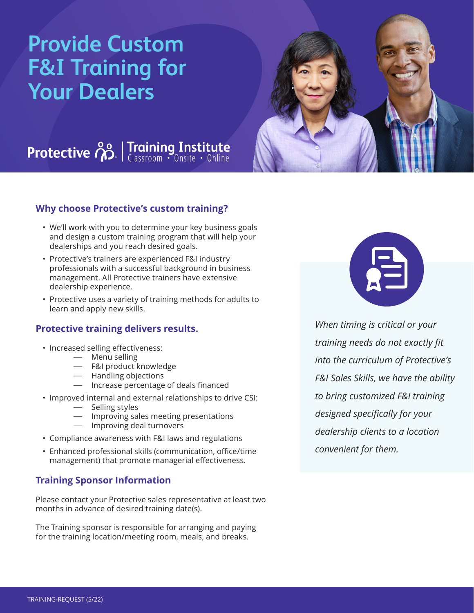## **Provide Custom F&I Training for Your Dealers**



## Protective  $\beta$ , Training Institute

### **Why choose Protective's custom training?**

- We'll work with you to determine your key business goals and design a custom training program that will help your dealerships and you reach desired goals.
- Protective's trainers are experienced F&I industry professionals with a successful background in business management. All Protective trainers have extensive dealership experience.
- Protective uses a variety of training methods for adults to learn and apply new skills.

### **Protective training delivers results.**

- Increased selling effectiveness:
	- ⎯ Menu selling
	- F&I product knowledge
	- $-$  Handling objections
	- ⎯ Increase percentage of deals financed
- Improved internal and external relationships to drive CSI:
	- ⎯ Selling styles
	- Improving sales meeting presentations
	- ⎯ Improving deal turnovers
- Compliance awareness with F&I laws and regulations
- Enhanced professional skills (communication, office/time management) that promote managerial effectiveness.

## **Training Sponsor Information**

Please contact your Protective sales representative at least two months in advance of desired training date(s).

The Training sponsor is responsible for arranging and paying for the training location/meeting room, meals, and breaks.



*When timing is critical or your training needs do not exactly fit into the curriculum of Protective's F&I Sales Skills, we have the ability to bring customized F&I training designed specifically for your dealership clients to a location convenient for them.*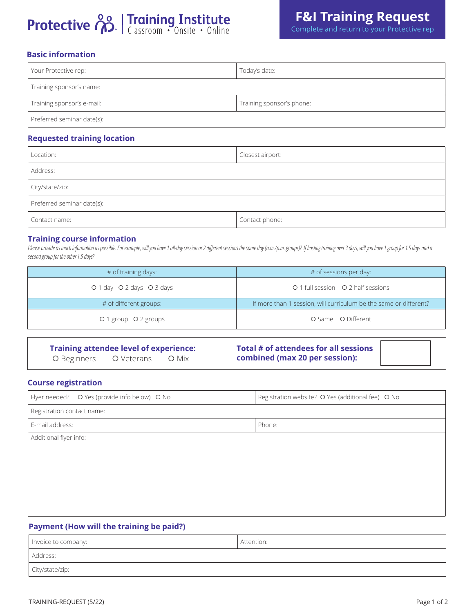# **Protective 23.** Training Institute

#### **Basic information**

| Your Protective rep:       | Today's date:             |  |
|----------------------------|---------------------------|--|
| Training sponsor's name:   |                           |  |
| Training sponsor's e-mail: | Training sponsor's phone: |  |
| Preferred seminar date(s): |                           |  |

#### **Requested training location**

| Location:                  | Closest airport: |  |
|----------------------------|------------------|--|
| Address:                   |                  |  |
| City/state/zip:            |                  |  |
| Preferred seminar date(s): |                  |  |
| Contact name:              | Contact phone:   |  |

#### **Training course information**

Please provide as much information as possible. For example, will you have 1 all-day session or 2 different sessions the same day (a.m./p.m. groups)? If hosting training over 3 days, will you have 1 group for 1.5 days and *second group for the other 1.5 days?* 

| # of training days:        | # of sessions per day:                                            |
|----------------------------|-------------------------------------------------------------------|
| O 1 day O 2 days O 3 days  | O 1 full session O 2 half sessions                                |
| # of different groups:     | If more than 1 session, will curriculum be the same or different? |
| O 1 group $\circ$ 2 groups | O Same O Different                                                |

| <b>Training attendee level of experience:</b> |            |       | Total # of attendees for all sessions |  |
|-----------------------------------------------|------------|-------|---------------------------------------|--|
| O Beginners                                   | O Veterans | O Mix | combined (max 20 per session):        |  |

#### **Course registration**

| Flyer needed? O Yes (provide info below) O No | Registration website? O Yes (additional fee) O No |  |  |  |
|-----------------------------------------------|---------------------------------------------------|--|--|--|
| Registration contact name:                    |                                                   |  |  |  |
| E-mail address:                               | Phone:                                            |  |  |  |
| Additional flyer info:                        |                                                   |  |  |  |
|                                               |                                                   |  |  |  |
|                                               |                                                   |  |  |  |
|                                               |                                                   |  |  |  |
|                                               |                                                   |  |  |  |
|                                               |                                                   |  |  |  |

#### **Payment (How will the training be paid?)**

| Invoice to company: | Attention: |
|---------------------|------------|
| Address:            |            |
| City/state/zip:     |            |